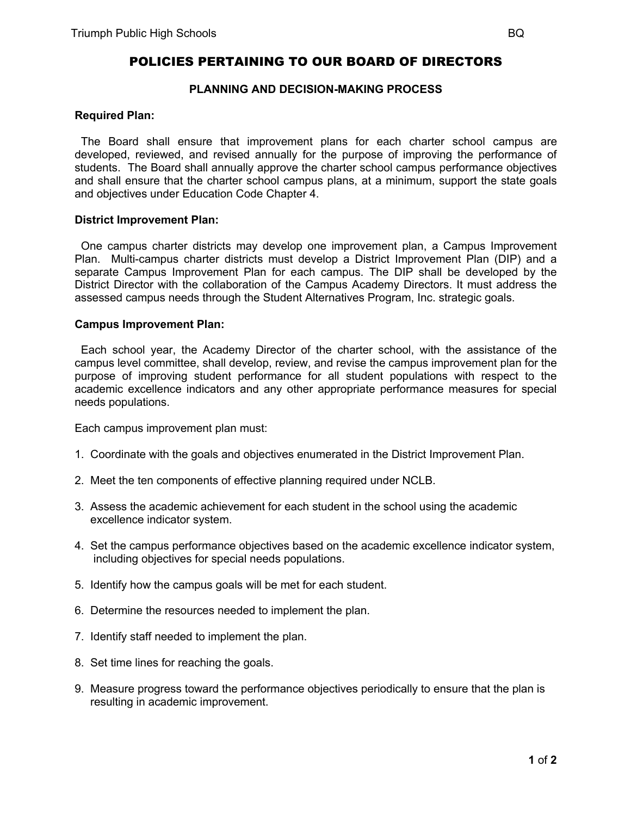# POLICIES PERTAINING TO OUR BOARD OF DIRECTORS

## **PLANNING AND DECISION-MAKING PROCESS**

#### **Required Plan:**

 The Board shall ensure that improvement plans for each charter school campus are developed, reviewed, and revised annually for the purpose of improving the performance of students. The Board shall annually approve the charter school campus performance objectives and shall ensure that the charter school campus plans, at a minimum, support the state goals and objectives under Education Code Chapter 4.

#### **District Improvement Plan:**

 One campus charter districts may develop one improvement plan, a Campus Improvement Plan. Multi-campus charter districts must develop a District Improvement Plan (DIP) and a separate Campus Improvement Plan for each campus. The DIP shall be developed by the District Director with the collaboration of the Campus Academy Directors. It must address the assessed campus needs through the Student Alternatives Program, Inc. strategic goals.

#### **Campus Improvement Plan:**

 Each school year, the Academy Director of the charter school, with the assistance of the campus level committee, shall develop, review, and revise the campus improvement plan for the purpose of improving student performance for all student populations with respect to the academic excellence indicators and any other appropriate performance measures for special needs populations.

Each campus improvement plan must:

- 1. Coordinate with the goals and objectives enumerated in the District Improvement Plan.
- 2. Meet the ten components of effective planning required under NCLB.
- 3. Assess the academic achievement for each student in the school using the academic excellence indicator system.
- 4. Set the campus performance objectives based on the academic excellence indicator system, including objectives for special needs populations.
- 5. Identify how the campus goals will be met for each student.
- 6. Determine the resources needed to implement the plan.
- 7. Identify staff needed to implement the plan.
- 8. Set time lines for reaching the goals.
- 9. Measure progress toward the performance objectives periodically to ensure that the plan is resulting in academic improvement.